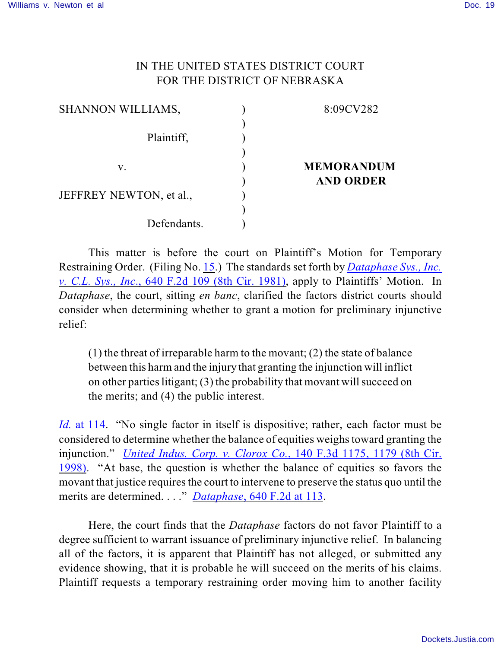## IN THE UNITED STATES DISTRICT COURT FOR THE DISTRICT OF NEBRASKA

| <b>SHANNON WILLIAMS,</b> | 8:09CV282         |
|--------------------------|-------------------|
| Plaintiff,               |                   |
| V.                       | <b>MEMORANDUM</b> |
| JEFFREY NEWTON, et al.,  | <b>AND ORDER</b>  |
| Defendants.              |                   |
|                          |                   |

This matter is before the court on Plaintiff's Motion for Temporary Restraining Order. (Filing No. [15](http://ecf.ned.uscourts.gov/doc1/11301953055).) The standards set forth by *[Dataphase Sys., Inc.](http://www.westlaw.com/find/default.wl?rs=CLWP3.0&vr=2.0&cite=640+F.2d+109) v. C.L. Sys., Inc*[., 640 F.2d 109 \(8th Cir. 1981\)](http://www.westlaw.com/find/default.wl?rs=CLWP3.0&vr=2.0&cite=640+F.2d+109), apply to Plaintiffs' Motion. In *Dataphase*, the court, sitting *en banc*, clarified the factors district courts should consider when determining whether to grant a motion for preliminary injunctive relief:

(1) the threat of irreparable harm to the movant; (2) the state of balance between this harm and the injury that granting the injunction will inflict on other parties litigant; (3) the probability that movant will succeed on the merits; and (4) the public interest.

*Id.* [at 114](http://web2.westlaw.com/find/default.wl?rs=CLWP3.0&vr=2.0&cite=640+F.2d+109&ssl=n). "No single factor in itself is dispositive; rather, each factor must be considered to determine whether the balance of equities weighs toward granting the injunction." *[United Indus. Corp. v. Clorox Co.](http://www.westlaw.com/find/default.wl?rs=CLWP3.0&vr=2.0&cite=140+F.3d+1175)*, 140 F.3d 1175, 1179 (8th Cir. [1998\)](http://www.westlaw.com/find/default.wl?rs=CLWP3.0&vr=2.0&cite=140+F.3d+1175). "At base, the question is whether the balance of equities so favors the movant that justice requires the court to intervene to preserve the status quo until the merits are determined. . . ." *Dataphase*[, 640 F.2d at 113](http://www.westlaw.com/find/default.wl?rs=CLWP3.0&vr=2.0&cite=640+F.2d+113).

Here, the court finds that the *Dataphase* factors do not favor Plaintiff to a degree sufficient to warrant issuance of preliminary injunctive relief. In balancing all of the factors, it is apparent that Plaintiff has not alleged, or submitted any evidence showing, that it is probable he will succeed on the merits of his claims. Plaintiff requests a temporary restraining order moving him to another facility